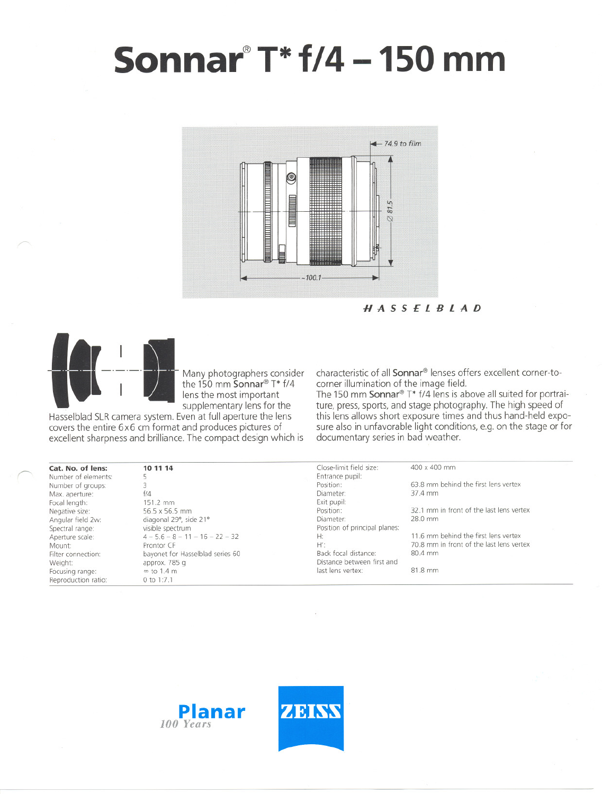# **Sonnar@T\*f/4 -150 mm**



HASSElBlAD



 $\sqrt{2}$ 

Many photographers consider the 150 mm Sonnar<sup>®</sup> T\* f/4 lens the most important supplementary lens for the

Hasselblad SLR camera system. Even at full aperture the lens covers the entire 6x6 cm format and produces pictures of excellent sharpness and brilliance. The compact design which is characteristic of all Sonnar<sup>®</sup> lenses offers excellent corner-tocorner illumination of the image fjeld.

The 150 mm Sonnar<sup>®</sup> T\* f/4 lens is above all suited for portraiture, press, sports, and stage photography. The high speed of this lens allows short exposure times and thus hand-held exposure also in unfavorable light conditions, e.g. on the stage or tor documentary series in bad weather.

| Cat. No. of lens:   | 10 11 14                          | Close-limit field size:       | 400 x 400 mm                             |  |
|---------------------|-----------------------------------|-------------------------------|------------------------------------------|--|
| Number of elements: |                                   | Entrance pupil:               |                                          |  |
| Number of groups:   |                                   | Position:                     | 63.8 mm behind the first lens vertex     |  |
| Max. aperture:      | f/4                               | Diameter:                     | 37.4 mm                                  |  |
| Focal length:       | 151.2 mm                          | Exit pupil:                   |                                          |  |
| Negative size:      | 56.5 x 56.5 mm                    | Position:                     | 32.1 mm in front of the last lens vertex |  |
| Angular field 2w:   | diagonal 29°, side 21°            | Diameter:                     | 28.0 mm                                  |  |
| Spectral range:     | visible spectrum                  | Position of principal planes: |                                          |  |
| Aperture scale:     | $4 - 5.6 - 8 - 11 - 16 - 22 - 32$ | Н:                            | 11.6 mm behind the first lens vertex     |  |
| Mount:              | Prontor CF                        | H':                           | 70.8 mm in front of the last lens vertex |  |
| Filter connection:  | bayonet for Hasselblad series 60  | Back focal distance:          | 80.4 mm                                  |  |
| Weight:             | approx. 785 g                     | Distance between first and    |                                          |  |
| Focusing range:     | $\infty$ to 1.4 m                 | last lens vertex:             | 81.8 mm                                  |  |
| Reproduction ratio: | 0 to 1:7.1                        |                               |                                          |  |